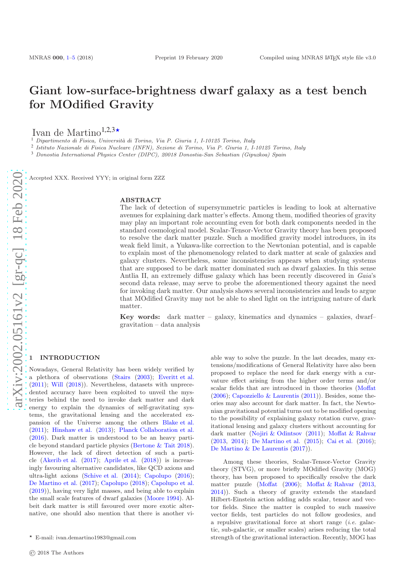# Giant low-surface-brightness dwarf galaxy as a test bench for MOdified Gravity

Ivan de Martino<sup>1,2,3\*</sup>

 $<sup>1</sup>$  Dipartimento di Fisica, Università di Torino, Via P. Giuria 1, I-10125 Torino, Italy</sup>

2 Istituto Nazionale di Fisica Nucleare (INFN), Sezione di Torino, Via P. Giuria 1, I-10125 Torino, Italy

<sup>3</sup> Donostia International Physics Center (DIPC), 20018 Donostia-San Sebastian (Gipuzkoa) Spain

Accepted XXX. Received YYY; in original form ZZZ

### ABSTRACT

The lack of detection of supersymmetric particles is leading to look at alternative avenues for explaining dark matter's effects. Among them, modified theories of gravity may play an important role accounting even for both dark components needed in the standard cosmological model. Scalar-Tensor-Vector Gravity theory has been proposed to resolve the dark matter puzzle. Such a modified gravity model introduces, in its weak field limit, a Yukawa-like correction to the Newtonian potential, and is capable to explain most of the phenomenology related to dark matter at scale of galaxies and galaxy clusters. Nevertheless, some inconsistencies appears when studying systems that are supposed to be dark matter dominated such as dwarf galaxies. In this sense Antlia II, an extremely diffuse galaxy which has been recently discovered in Gaia's second data release, may serve to probe the aforementioned theory against the need for invoking dark matter. Our analysis shows several inconsistencies and leads to argue that MOdified Gravity may not be able to shed light on the intriguing nature of dark matter.

Key words: dark matter – galaxy, kinematics and dynamics – galaxies, dwarf– gravitation – data analysis

# <span id="page-0-0"></span>**INTRODUCTION**

Nowadays, General Relativity has been widely verified by a plethora of observations [\(Stairs](#page-4-0) [\(2003\)](#page-4-0); [Everitt et al.](#page-4-1) [\(2011](#page-4-1)); [Will](#page-4-2) [\(2018](#page-4-2))). Nevertheless, datasets with unprecedented accuracy have been exploited to unveil the mysteries behind the need to invoke dark matter and dark energy to explain the dynamics of self-gravitating systems, the gravitational lensing and the accelerated expansion of the Universe among the others [Blake et al.](#page-4-3) [\(2011](#page-4-3)); [Hinshaw et al.](#page-4-4) [\(2013\)](#page-4-4); [Planck Collaboration et al.](#page-4-5) [\(2016](#page-4-5)). Dark matter is understood to be an heavy particle beyond standard particle physics [\(Bertone & Tait 2018](#page-4-6)). However, the lack of direct detection of such a particle [\(Akerib et al.](#page-3-1) [\(2017](#page-3-1)); [Aprile et al.](#page-4-7) [\(2018](#page-4-7))) is increasingly favouring alternative candidates, like QCD axions and ultra-light axions [\(Schive et al.](#page-4-8) [\(2014\)](#page-4-8); [Capolupo](#page-4-9) [\(2016](#page-4-9)); [De Martino et al.](#page-4-10) [\(2017](#page-4-10)); [Capolupo](#page-4-11) [\(2018\)](#page-4-11); [Capolupo et al.](#page-4-12) [\(2019](#page-4-12))), having very light masses, and being able to explain the small scale features of dwarf galaxies [\(Moore 1994](#page-4-13)). Albeit dark matter is still favoured over more exotic alternative, one should also mention that there is another viable way to solve the puzzle. In the last decades, many extensions/modifications of General Relativity have also been proposed to replace the need for dark energy with a curvature effect arising from the higher order terms and/or scalar fields that are introduced in those theories [\(Moffat](#page-4-14)  $(2006)$  $(2006)$ ; [Capozziello & Laurentis](#page-4-15)  $(2011)$ ). Besides, some theories may also account for dark matter. In fact, the Newtonian gravitational potential turns out to be modified opening to the possibility of explaining galaxy rotation curve, gravitational lensing and galaxy clusters without accounting for dark matter [\(Nojiri & Odintsov](#page-4-16) [\(2011](#page-4-16)); [Moffat & Rahvar](#page-4-17) [\(2013](#page-4-17) , [2014](#page-4-18)); [De Martino et al.](#page-4-19) [\(2015](#page-4-19)); [Cai et al.](#page-4-20) [\(2016](#page-4-20)); [De Martino & De Laurentis](#page-4-21) [\(2017](#page-4-21))).

Among these theories, Scalar-Tensor-Vector Gravity theory (STVG), or more briefly MOdified Gravity (MOG) theory, has been proposed to specifically resolve the dark matter puzzle [\(Moffat](#page-4-14) [\(2006\)](#page-4-14); [Moffat & Rahvar](#page-4-17) [\(2013](#page-4-17) , [2014](#page-4-18))). Such a theory of gravity extends the standard Hilbert-Einstein action adding adds scalar, tensor and vec tor fields. Since the matter is coupled to such massive vector fields, test particles do not follow geodesics, and a repulsive gravitational force at short range  $(i.e.$  galactic, sub-galactic, or smaller scales) arises reducing the total strength of the gravitational interaction. Recently, MOG has

<sup>⋆</sup> E-mail: ivan.demartino1983@gmail.com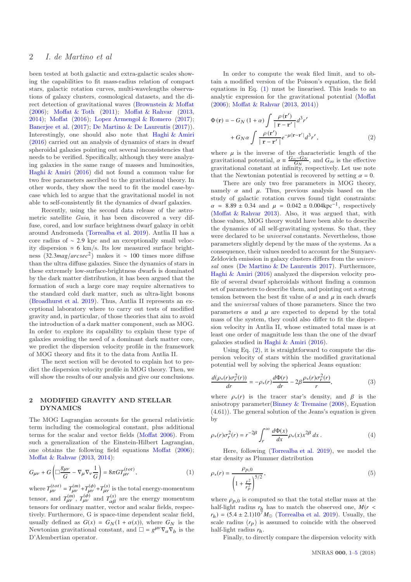# 2 I. de Martino et al

been tested at both galactic and extra-galactic scales showing the capabilities to fit mass-radius relation of compact stars, galactic rotation curves, multi-wavelengths observations of galaxy clusters, cosmological datasets, and the direct detection of gravitational waves [\(Brownstein & Moffat](#page-4-22) [\(2006](#page-4-22)); [Moffat & Toth](#page-4-23) [\(2011](#page-4-23)); [Moffat & Rahvar](#page-4-17) [\(2013,](#page-4-17) [2014](#page-4-18)); [Moffat](#page-4-24) [\(2016\)](#page-4-24); [Lopez Armengol & Romero](#page-4-25) [\(2017](#page-4-25)); [Banerjee et al.](#page-4-26) [\(2017](#page-4-26)); [De Martino & De Laurentis](#page-4-21) [\(2017](#page-4-21))). Interestingly, one should also note that [Haghi & Amiri](#page-4-27) [\(2016](#page-4-27)) carried out an analysis of dynamics of stars in dwarf spheroidal galaxies pointing out several inconsistencies that needs to be verified. Specifically, although they were analyzing galaxies in the same range of masses and luminosities, [Haghi & Amiri](#page-4-27) [\(2016\)](#page-4-27) did not found a common value for two free parameters ascribed to the gravitational theory. In other words, they show the need to fit the model case-bycase which led to argue that the gravitational model in not able to self-consistently fit the dynamics of dwarf galaxies.

Recently, using the second data release of the astrometric satellite Gaia, it has been discovered a very diffuse, cored, and low surface brightness dwarf galaxy in orbit around Andromeda [\(Torrealba et al. 2019](#page-4-28)). Antlia II has a core radius of ∼ 2.9 kpc and an exceptionally small velocity dispersion ≃ 6 km/s. Its low measured surface brightness (32.3*ma*g/*arcsec*<sup>2</sup> ) makes it ∼ 100 times more diffuse than the ultra diffuse galaxies. Since the dynamics of stars in these extremely low-surface-brightness dwarfs is dominated by the dark matter distribution, it has been argued that the formation of such a large core may require alternatives to the standard cold dark matter, such as ultra-light bosons [\(Broadhurst et al. 2019](#page-4-29)). Thus, Antlia II represents an exceptional laboratory where to carry out tests of modified gravity and, in particular, of those theories that aim to avoid the introduction of a dark matter component, such as MOG. In order to explore its capability to explain these type of galaxies avoiding the need of a dominant dark matter core, we predict the dispersion velocity profile in the framework of MOG theory and fits it to the data from Antlia II.

The next section will be devoted to explain hot to predict the dispersion velocity profile in MOG theory. Then, we will show the results of our analysis and give our conclusions.

# 2 MODIFIED GRAVITY AND STELLAR DYNAMICS

The MOG Lagrangian accounts for the general relativistic term including the cosmological constant, plus additional terms for the scalar and vector fields [\(Moffat 2006](#page-4-14)). From such a generalization of the Einstein-Hilbert Lagrangian, one obtains the following field equations [Moffat](#page-4-14) [\(2006](#page-4-14)); [Moffat & Rahvar](#page-4-17) [\(2013,](#page-4-17) [2014\)](#page-4-18):

<span id="page-1-0"></span>
$$
G_{\mu\nu} + G\left(\Box \frac{g_{\mu\nu}}{G} - \nabla_{\mu} \nabla_{\nu} \frac{1}{G}\right) = 8\pi G T_{\mu\nu}^{(tot)},\tag{1}
$$

where  $T_{\mu\nu}^{(tot)} = T_{\mu\nu}^{(m)} + T_{\mu\nu}^{(\phi)} + T_{\mu\nu}^{(s)}$  is the total energy-momentum tensor, and  $T_{\mu\nu}^{(m)}$ ,  $T_{\mu\nu}^{(\phi)}$  and  $T_{\alpha\beta}^{(s)}$  are the energy momentum tensors for ordinary matter, vector and scalar fields, respectively. Furthermore, G is space-time dependent scalar field, usually defined as  $G(x) = G_N(1 + \alpha(x))$ , where  $G_N$  is the Newtonian gravitational constant, and  $\square = g^{\mu\nu}\nabla_a \nabla_b$  is the D'Alembertian operator.

In order to compute the weak filed limit, and to obtain a modified version of the Poisson's equation, the field equations in Eq. [\(1\)](#page-1-0) must be linearised. This leads to an analytic expression for the gravitational potential [\(Moffat](#page-4-14) [\(2006](#page-4-14)); [Moffat & Rahvar](#page-4-17) [\(2013,](#page-4-17) [2014](#page-4-18)))

<span id="page-1-1"></span>
$$
\Phi(\mathbf{r}) = -G_N (1 + \alpha) \int \frac{\rho(\mathbf{r}')}{|\mathbf{r} - \mathbf{r}'|} d^3 r' + G_N \alpha \int \frac{\rho(\mathbf{r}')}{|\mathbf{r} - \mathbf{r}'|} e^{-\mu |\mathbf{r} - \mathbf{r}'|} d^3 r',
$$
\n(2)

where  $\mu$  is the inverse of the characteristic length of the gravitational potential,  $\alpha = \frac{G_{\infty} - G_N}{G_N}$ , and  $G_{\infty}$  is the effective gravitational constant at infinity, respectively. Let use note that the Newtonian potential is recovered by setting  $\alpha = 0$ .

There are only two free parameters in MOG theory, namely  $\alpha$  and  $\mu$ . Thus, previous analysis based on the study of galactic rotation curves found tight constraints:  $\alpha = 8.89 \pm 0.34$  and  $\mu = 0.042 \pm 0.004$ kpc<sup>-1</sup>, respectively [\(Moffat & Rahvar 2013](#page-4-17)). Also, it was argued that, with those values, MOG theory would have been able to describe the dynamics of all self-gravitating systems. So that, they were declared to be universal constants. Nevertheless, those parameters slightly depend by the mass of the systems. As a consequence, their values needed to account for the Sunyaev-Zeldovich emission in galaxy clusters differs from the universal ones [\(De Martino & De Laurentis 2017\)](#page-4-21). Furthermore, [Haghi & Amiri](#page-4-27) [\(2016](#page-4-27)) analyzed the dispersion velocity profile of several dwarf spheroidals without finding a common set of parameters to describe them, and pointing out a strong tension between the best fit value of  $\alpha$  and  $\mu$  in each dwarfs and the universal values of those parameters. Since the two parameters  $\alpha$  and  $\mu$  are expected to depend by the total mass of the system, they could also differ to fit the dispersion velocity in Antlia II, whose estimated total mass is at least one order of magnitude less than the one of the dwarf galaxies studied in [Haghi & Amiri](#page-4-27) [\(2016](#page-4-27)).

Using Eq.  $(2)$ , it is straightforward to compute the dispersion velocity of stars within the modified gravitational potential well by solving the spherical Jeans equation:

$$
\frac{d(\rho_*(r)\sigma_r^2(r))}{dr} = -\rho_*(r)\frac{d\Phi(r)}{dr} - 2\beta \frac{\rho_*(r)\sigma_r^2(r)}{r},\tag{3}
$$

where  $\rho_*(r)$  is the tracer star's density, and  $\beta$  is the anisotropy parameter[\(Binney & Tremaine](#page-4-30) [\(2008](#page-4-30)), Equation (4.61)). The general solution of the Jeans's equation is given by

$$
\rho_*(r)\sigma_r^2(r) = r^{-2\beta} \int_r^\infty \frac{d\Phi(x)}{dx} \rho_*(x) x^{2\beta} dx.
$$
 (4)

Here, following [\(Torrealba et al. 2019](#page-4-28)), we model the star density as Plummer distribution

<span id="page-1-2"></span>
$$
\rho_*(r) = \frac{\rho_{p,0}}{\left(1 + \frac{r^2}{r_p^2}\right)^{5/2}},\tag{5}
$$

where  $\rho_{p,0}$  is computed so that the total stellar mass at the half-light radius  $r_h$  has to match the observed one,  $M(r \leq$  $r_h$ ) = (5.4 ± 2.1)10<sup>7</sup> $M_{\odot}$  [\(Torrealba et al. 2019](#page-4-28)). Usually, the scale radius  $(r_p)$  is assumed to coincide with the observed half-light radius *r*h.

Finally, to directly compare the dispersion velocity with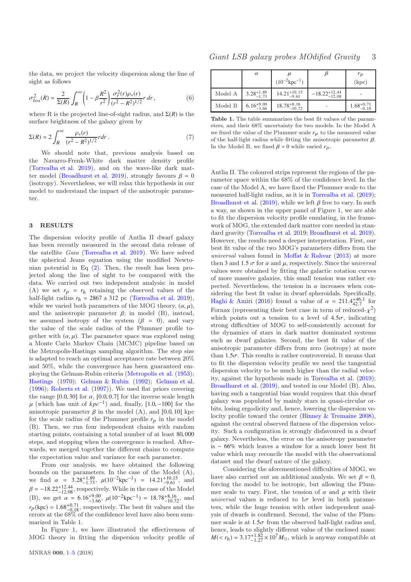the data, we project the velocity dispersion along the line of sight as follows

$$
\sigma_{los}^2(R) = \frac{2}{\Sigma(R)} \int_R^{\infty} \left(1 - \beta \frac{R^2}{r^2}\right) \frac{\sigma_r^2(r)\rho_*(r)}{(r^2 - R^2)^{1/2}} r \, dr \,, \tag{6}
$$

where R is the projected line-of-sight radius, and  $\Sigma(R)$  is the surface brightness of the galaxy given by

$$
\Sigma(R) = 2 \int_{R}^{\infty} \frac{\rho_{*}(r)}{(r^{2} - R^{2})^{1/2}} r dr . \tag{7}
$$

We should note that, previous analysis based on the Navarro-Frenk-White dark matter density profile [\(Torrealba et al. 2019\)](#page-4-28), and on the wave-like dark mat-ter model [\(Broadhurst et al. 2019\)](#page-4-29), strongly favours  $\beta = 0$ (isotropy). Nevertheless, we will relax this hypothesis in our model to understand the impact of the anisotropic parameter.

#### 3 RESULTS

The dispersion velocity profile of Antlia II dwarf galaxy has been recently measured in the second data release of the satellite Gaia [\(Torrealba et al. 2019\)](#page-4-28). We have solved the spherical Jeans equation using the modified Newtonian potential in Eq [\(2\)](#page-1-1). Then, the result has been projected along the line of sight to be compared with the data. We carried out two independent analysis: in model (A) we set  $r_p = r_h$  retaining the observed values of the half-light radius  $r_h = 2867 \pm 312$  pc [\(Torrealba et al. 2019](#page-4-28)), while we varied both parameters of the MOG theory,  $(\alpha, \mu)$ , and the anisotropic parameter  $\beta$ ; in model (B), instead, we assumed isotropy of the system  $(\beta = 0)$ , and vary the value of the scale radius of the Plummer profile together with  $(\alpha, \mu)$ . The parameter space was explored using a Monte Carlo Markov Chain (MCMC) pipeline based on the Metropolis-Hastings sampling algorithm. The step size is adapted to reach an optimal acceptance rate between 20% and 50%, while the convergence has been guaranteed employing the Gelman-Rubin criteria [\(Metropolis et al.](#page-4-31) [\(1953](#page-4-31)); [Hastings](#page-4-32) [\(1970\)](#page-4-32); [Gelman & Rubin](#page-4-33) [\(1992](#page-4-33)); [Gelman et al.](#page-4-34) [\(1996](#page-4-34)); [Roberts et al.](#page-4-35) [\(1997](#page-4-35))). We used flat priors covering the range  $[0.0, 30]$  for  $\alpha$ ,  $[0.0, 0.7]$  for the inverse scale length  $\mu$  (which has unit of  $kpc^{-1}$ ) and, finally, [1.0, -100] for the anisotropic parameter  $\beta$  in the model (A), and [0.0, 10] kpc for the scale radius of the Plummer profile  $r_p$  in the model (B). Then, we run four independent chains with random starting points, containing a total number of at least 80, 000 steps, and stopping when the convergence is reached. Afterwards, we merged together the different chains to compute the expectation value and variance for each parameter.

From our analysis, we have obtained the following bounds on the parameters. In the case of the Model (A), we find  $\alpha = 3.28^{+1.89}_{-1.73}$ ,  $\mu(10^{-2} \text{kpc}^{-1}) = 14.21^{+10.15}_{-9.61}$ , and  $\beta = -18.22^{+12.44}_{-12.08}$ , respectively. While in the case of the Model (B), we get  $\alpha = 6.16^{+9.00}_{-3.66}$ ,  $\mu(10^{-2} \text{kpc}^{-1}) = 18.78^{+8.16}_{-10.72}$ , and  $r_p(\text{kpc}) = 1.68^{+0.71}_{-0.18}$ , respectively. The best fit values and the errors at the 68% of the confidence level have also been summarized in Table 1.

In Figure [1,](#page-3-2) we have illustrated the effectiveness of MOG theory in fitting the dispersion velocity profile of

|         | $\alpha$               | $\overline{u}$                 |                            | $r_p$                  |
|---------|------------------------|--------------------------------|----------------------------|------------------------|
|         |                        | $(10^{-2}$ kpc <sup>-1</sup> ) |                            | (kpc)                  |
| Model A | $3.28^{+1.89}_{-1.73}$ | $14.21_{-9.61}^{+10.15}$       | $-18.22_{-12.08}^{+12.44}$ |                        |
| Model B | $6.16^{+9.00}_{-3.66}$ | $18.78^{+8.16}_{-10.72}$       |                            | $1.68^{+0.71}_{-0.18}$ |

Table 1. The table summarizes the best fit values of the parameters, and their 68% uncertainty for two models. In the Model A we fixed the value of the Plummer scale  $r_p$  to the measured value of the half-light radius while fitting the anisotropic parameter  $\beta$ . In the Model B, we fixed  $\beta = 0$  while varied  $r_p$ .

Antlia II. The coloured strips represent the regions of the parameter space within the 68% of the confidence level. In the case of the Model A, we have fixed the Plummer scale to the measured half-light radius, as it is in [Torrealba et al.](#page-4-28) [\(2019](#page-4-28)); [Broadhurst et al.](#page-4-29) [\(2019](#page-4-29)), while we left  $\beta$  free to vary. In such a way, as shown in the upper panel of Figure [1,](#page-3-2) we are able to fit the dispersion velocity profile emulating, in the framework of MOG, the extended dark matter core needed in standard gravity [\(Torrealba et al. 2019](#page-4-28); [Broadhurst et al. 2019](#page-4-29)). However, the results need a deeper interpretation. First, our best fit value of the two MOG's parameters differs from the universal values found in [Moffat & Rahvar](#page-4-17) [\(2013](#page-4-17)) at more then 3 and 1.5  $\sigma$  for  $\alpha$  and  $\mu$ , respectively. Since the *universal* values were obtained by fitting the galactic rotation curves of more massive galaxies, this small tension was rather expected. Nevertheless, the tension in  $\alpha$  increases when considering the best fit value in dwarf spheroidals. Specifically, [Haghi & Amiri](#page-4-27) [\(2016](#page-4-27)) found a value of  $\alpha = 211.4^{+46.1}_{+2.7}$  for Fornax (representing their best case in term of reduced- $\chi^2$ ) which points out a tension to a level of  $4.5\sigma$ , indicating strong difficulties of MOG to self-consistently account for the dynamics of stars in dark matter dominated systems such as dwarf galaxies. Second, the best fit value of the anisotropic parameter differs from zero (isotropy) at more than  $1.5\sigma$ . This results is rather controversial. It means that to fit the dispersion velocity profile we need the tangential dispersion velocity to be much higher than the radial velocity, against the hypothesis made in [Torrealba et al.](#page-4-28) [\(2019](#page-4-28)); [Broadhurst et al.](#page-4-29) [\(2019](#page-4-29)), and tested in our Model (B). Also, having such a tangential bias would requires that this dwarf galaxy was populated by mainly stars in quasi-circular orbits, losing ergodicity and, hence, lowering the dispersion velocity profile toward the center [\(Binney & Tremaine 2008](#page-4-30)), against the central observed flatness of the dispersion velocity. Such a configuration is strongly disfavoured in a dwarf galaxy. Nevertheless, the error on the anisotropy parameter is ∼ 66% which leaves a window for a much lower best fit value which may reconcile the model with the observational dataset and the dwarf nature of the galaxy.

Considering the aforementioned difficulties of MOG, we have also carried out an additional analysis. We set  $\beta = 0$ , forcing the model to be isotropic, but allowing the Plummer scale to vary. First, the tension of  $\alpha$  and  $\mu$  with their universal values is reduced to  $1\sigma$  level in both parameters, while the huge tension with other independent analysis of dwarfs is confirmed. Second, the value of the Plummer scale is at  $1.5\sigma$  from the observed half-light radius and, hence, leads to slightly different value of the enclosed mass:  $M(< r_h) = 3.17_{-1.27}^{+1.82} \times 10^7 M_{\odot}$ , which is anyway compatible at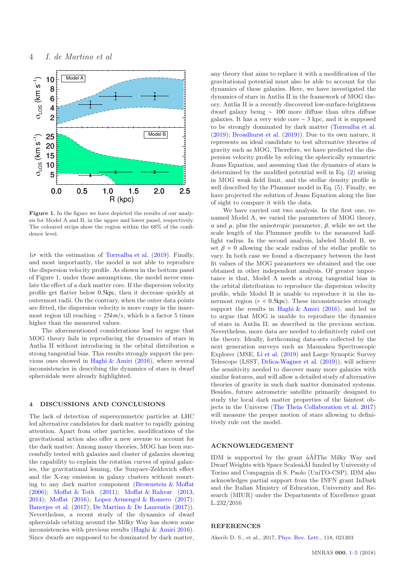

<span id="page-3-2"></span>Figure 1. In the figure we have depicted the results of our analysis for Model A and B, in the upper and lower panel, respectively. The coloured strips show the region within the 68% of the confidence level.

 $1\sigma$  with the estimation of [Torrealba et al.](#page-4-28) [\(2019](#page-4-28)). Finally, and most importantly, the model is not able to reproduce the dispersion velocity profile. As shown in the bottom panel of Figure [1,](#page-3-2) under those assumptions, the model never emulate the effect of a dark matter core. If the dispersion velocity profile get flatter below 0.5kpc, then it decrease quickly at outermost radii. On the contrary, when the outer data points are fitted, the dispersion velocity is more cuspy in the innermost region till reaching ∼ 25*km*/*s*, which is a factor 5 times higher than the measured values.

The aforementioned considerations lead to argue that MOG theory fails in reproducing the dynamics of stars in Antlia II without introducing in the orbital distribution a strong tangential bias. This results strongly support the previous ones showed in [Haghi & Amiri](#page-4-27) [\(2016](#page-4-27)), where several inconsistencies in describing the dynamics of stars in dwarf spheroidals were already highlighted.

# <span id="page-3-0"></span>4 DISCUSSIONS AND CONCLUSIONS

The lack of detection of supersymmetric particles at LHC led alternative candidates for dark matter to rapidly gaining attention. Apart from other particles, modifications of the gravitational action also offer a new avenue to account for the dark matter. Among many theories, MOG has been successfully tested with galaxies and cluster of galaxies showing the capability to explain the rotation curves of spiral galaxies, the gravitational lensing, the Sunyaev-Zeldovich effect and the X-ray emission in galaxy clusters without resorting to any dark matter component [\(Brownstein & Moffat](#page-4-22) [\(2006](#page-4-22)); [Moffat & Toth](#page-4-23) [\(2011](#page-4-23)); [Moffat & Rahvar](#page-4-17) [\(2013,](#page-4-17) [2014](#page-4-18)); [Moffat](#page-4-24) [\(2016\)](#page-4-24); [Lopez Armengol & Romero](#page-4-25) [\(2017](#page-4-25)); [Banerjee et al.](#page-4-26) [\(2017](#page-4-26)); [De Martino & De Laurentis](#page-4-21) [\(2017](#page-4-21))). Nevertheless, a recent study of the dynamics of dwarf spheroidals orbiting around the Milky Way has shown some inconsistencies with previous results [\(Haghi & Amiri 2016](#page-4-27)). Since dwarfs are supposed to be dominated by dark matter,

any theory that aims to replace it with a modification of the gravitational potential must also be able to account for the dynamics of these galaxies. Here, we have investigated the dynamics of stars in Antlia II in the framework of MOG theory. Antlia II is a recently discovered low-surface-brightness dwarf galaxy being ∼ 100 more diffuse than ultra diffuse galaxies. It has a very wide core ∼ 3 kpc, and it is supposed to be strongly dominated by dark matter [\(Torrealba et al.](#page-4-28) [\(2019](#page-4-28)); [Broadhurst et al.](#page-4-29) [\(2019](#page-4-29))). Due to its own nature, it represents an ideal candidate to test alternative theories of gravity such as MOG. Therefore, we have predicted the dispersion velocity profile by solving the spherically symmetric Jeans Equation, and assuming that the dynamics of stars is determined by the modified potential well in Eq. [\(2\)](#page-1-1) arising in MOG weak field limit, and the stellar density profile is well described by the Plummer model in Eq. [\(5\)](#page-1-2). Finally, we have projected the solution of Jeans Equation along the line of sight to compare it with the data.

We have carried out two analysis. In the first one, renamed Model A, we varied the parameters of MOG theory, α and µ, plus the anisotropic parameter, β, while we set the scale length of the Plummer profile to the measured halflight radius. In the second analysis, labeled Model B, we set  $\beta = 0$  allowing the scale radius of the stellar profile to vary. In both case we found a discrepancy between the best fit values of the MOG parameters we obtained and the one obtained in other independent analysis. Of greater importance is that, Model A needs a strong tangential bias in the orbital distribution to reproduce the dispersion velocity profile, while Model B is unable to reproduce it in the innermost region  $(r < 0.5$ kpc). These inconsistencies strongly support the results in Haghi  $\&$  Amiri [\(2016\)](#page-4-27), and led us to argue that MOG is unable to reproduce the dynamics of stars in Antlia II, as described in the previous section. Nevertheless, more data are needed to definitively ruled out the theory. Ideally, forthcoming data-sets collected by the next generation surveys such as Maunakea Spectroscopic Explorer (MSE, [Li et al.](#page-4-36) [\(2019\)](#page-4-36) and Large Synoptic Survey Telescope (LSST, [Drlica-Wagner et al.](#page-4-37) [\(2019](#page-4-37))), will achieve the sensitivity needed to discover many more galaxies with similar features, and will allow a detailed study of alternative theories of gravity in such dark matter dominated systems. Besides, future astrometric satellite primarily designed to study the local dark matter properties of the faintest objects in the Universe [\(The Theia Collaboration et al. 2017](#page-4-38)) will measure the proper motion of stars allowing to definitively rule out the model.

### ACKNOWLEDGEMENT

IDM is supported by the grant  $\tilde{a}$ AIThe Milky Way and Dwarf Weights with Space Scalesa<sup>X</sup>I funded by University of Torino and Compagnia di S. Paolo (UniTO-CSP). IDM also acknowledges partial support from the INFN grant InDark and the Italian Ministry of Education, University and Research (MIUR) under the Departments of Excellence grant L.232/2016

## **REFERENCES**

<span id="page-3-1"></span>Akerib D. S., et al., 2017, [Phys. Rev. Lett.,](http://dx.doi.org/10.1103/PhysRevLett.118.021303) 118, 021303